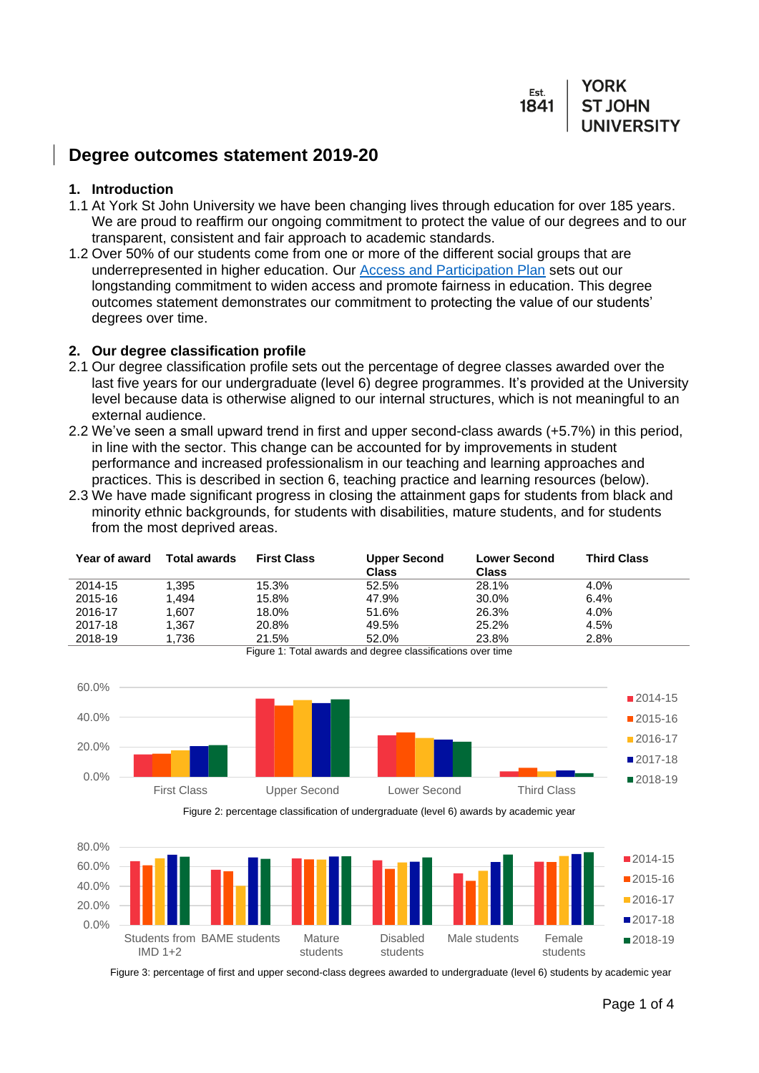Est. **ST JOHN** 1841

# **Degree outcomes statement 2019-20**

#### **1. Introduction**

- 1.1 At York St John University we have been changing lives through education for over 185 years. We are proud to reaffirm our ongoing commitment to protect the value of our degrees and to our transparent, consistent and fair approach to academic standards.
- 1.2 Over 50% of our students come from one or more of the different social groups that are underrepresented in higher education. Our **Access and Participation Plan** sets out our longstanding commitment to widen access and promote fairness in education. This degree outcomes statement demonstrates our commitment to protecting the value of our students' degrees over time.

#### **2. Our degree classification profile**

- 2.1 Our degree classification profile sets out the percentage of degree classes awarded over the last five years for our undergraduate (level 6) degree programmes. It's provided at the University level because data is otherwise aligned to our internal structures, which is not meaningful to an external audience.
- 2.2 We've seen a small upward trend in first and upper second-class awards (+5.7%) in this period, in line with the sector. This change can be accounted for by improvements in student performance and increased professionalism in our teaching and learning approaches and practices. This is described in section 6, teaching practice and learning resources (below).
- 2.3 We have made significant progress in closing the attainment gaps for students from black and minority ethnic backgrounds, for students with disabilities, mature students, and for students from the most deprived areas.

| Year of award | <b>Total awards</b> | <b>First Class</b> | <b>Upper Second</b><br><b>Class</b> | <b>Lower Second</b><br><b>Class</b> | <b>Third Class</b> |
|---------------|---------------------|--------------------|-------------------------------------|-------------------------------------|--------------------|
| 2014-15       | 1.395               | 15.3%              | 52.5%                               | 28.1%                               | 4.0%               |
| 2015-16       | 1.494               | 15.8%              | 47.9%                               | 30.0%                               | 6.4%               |
| 2016-17       | 1.607               | 18.0%              | 51.6%                               | 26.3%                               | 4.0%               |
| 2017-18       | 1.367               | 20.8%              | 49.5%                               | 25.2%                               | 4.5%               |
| 2018-19       | 1.736               | 21.5%              | 52.0%                               | 23.8%                               | 2.8%               |

Figure 1: Total awards and degree classifications over time



Figure 2: percentage classification of undergraduate (level 6) awards by academic year



Figure 3: percentage of first and upper second-class degrees awarded to undergraduate (level 6) students by academic year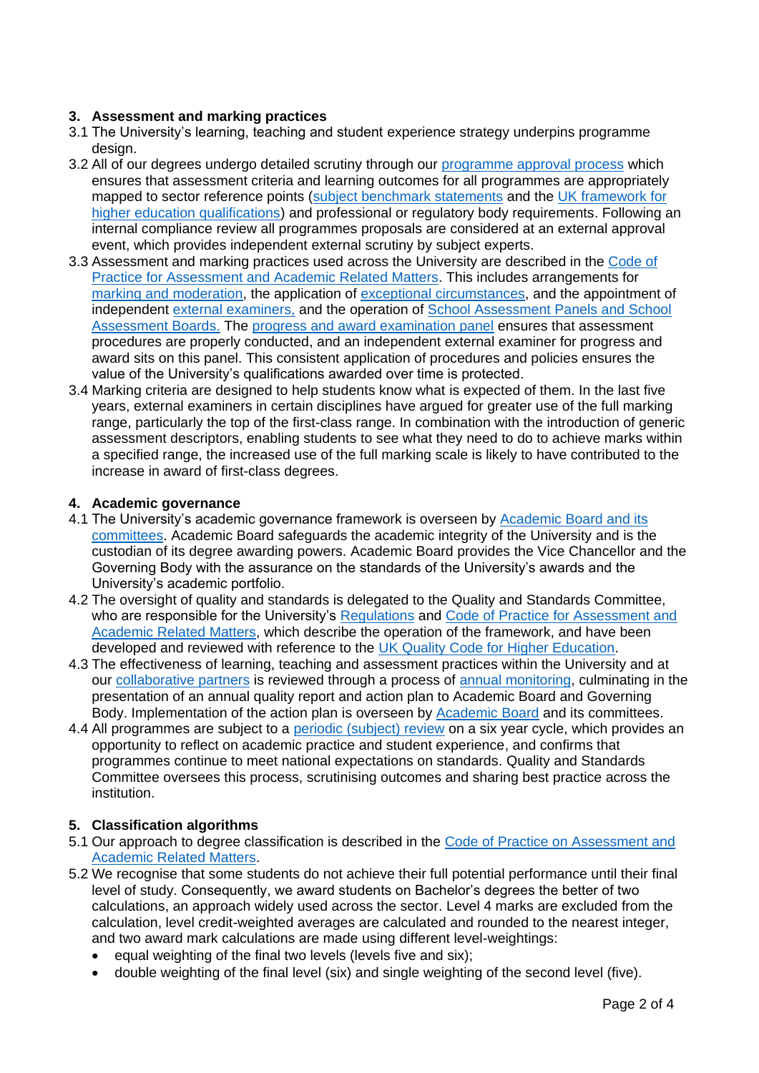# **3. Assessment and marking practices**

- 3.1 The University's learning, teaching and student experience strategy underpins programme design.
- 3.2 All of our degrees undergo detailed scrutiny through our [programme approval process](https://www.yorksj.ac.uk/registry/quality-gateway/programme-design-amendment--approval/validation-and-revalidation-process/) which ensures that assessment criteria and learning outcomes for all programmes are appropriately mapped to sector reference points [\(subject benchmark statements](https://www.qaa.ac.uk/en/quality-code/subject-benchmark-statements) and the [UK framework for](https://www.qaa.ac.uk/en/quality-code/qualifications-and-credit-frameworks)  [higher education qualifications\)](https://www.qaa.ac.uk/en/quality-code/qualifications-and-credit-frameworks) and professional or regulatory body requirements. Following an internal compliance review all programmes proposals are considered at an external approval event, which provides independent external scrutiny by subject experts.
- 3.3 Assessment and marking practices used across the University are described in the [Code of](https://www.yorksj.ac.uk/registry/assessment/code-of-practice-for-assessment/)  [Practice for Assessment and Academic Related Matters.](https://www.yorksj.ac.uk/registry/assessment/code-of-practice-for-assessment/) This includes arrangements for [marking and moderation,](https://www.yorksj.ac.uk/media/content-assets/registry/policies/code-of-practice-for-assessment/26.Marking_and_Moderation_Policy_2019-20.pdf) the application of [exceptional circumstances,](https://www.yorksj.ac.uk/media/content-assets/registry/policies/code-of-practice-for-assessment/15.Exceptional_Circumstances_Policy_2019-20.pdf) and the appointment of independent [external examiners,](https://www.yorksj.ac.uk/media/content-assets/registry/policies/code-of-practice-for-assessment/37.External_Examiners_2019-20.pdf) and the operation of [School Assessment Panels and School](https://www.yorksj.ac.uk/media/content-assets/registry/policies/code-of-practice-for-assessment/38.School_Assessment_Panels_2019-20.pdf)  [Assessment Boards.](https://www.yorksj.ac.uk/media/content-assets/registry/policies/code-of-practice-for-assessment/38.School_Assessment_Panels_2019-20.pdf) The [progress and award examination panel](https://www.yorksj.ac.uk/media/content-assets/registry/policies/code-of-practice-for-assessment/41.Progress_and_Award_Examination_Panel_2019-20.pdf) ensures that assessment procedures are properly conducted, and an independent external examiner for progress and award sits on this panel. This consistent application of procedures and policies ensures the value of the University's qualifications awarded over time is protected.
- 3.4 Marking criteria are designed to help students know what is expected of them. In the last five years, external examiners in certain disciplines have argued for greater use of the full marking range, particularly the top of the first-class range. In combination with the introduction of generic assessment descriptors, enabling students to see what they need to do to achieve marks within a specified range, the increased use of the full marking scale is likely to have contributed to the increase in award of first-class degrees.

## **4. Academic governance**

- 4.1 The University's academic governance framework is overseen by [Academic Board and its](https://www.yorksj.ac.uk/quality-gateway/our-approach/)  [committees.](https://www.yorksj.ac.uk/quality-gateway/our-approach/) Academic Board safeguards the academic integrity of the University and is the custodian of its degree awarding powers. Academic Board provides the Vice Chancellor and the Governing Body with the assurance on the standards of the University's awards and the University's academic portfolio.
- 4.2 The oversight of quality and standards is delegated to the Quality and Standards Committee, who are responsible for the University's [Regulations](https://www.yorksj.ac.uk/registry/regulations/) and Code of Practice for Assessment and Academic [Related Matters,](https://www.yorksj.ac.uk/registry/assessment/code-of-practice-for-assessment/) which describe the operation of the framework, and have been developed and reviewed with reference to the [UK Quality Code for Higher Education.](https://www.qaa.ac.uk/quality-code)
- 4.3 The effectiveness of learning, teaching and assessment practices within the University and at our [collaborative partners](https://www.yorksj.ac.uk/registry/quality-gateway/collaborative-provision/our-partners/) is reviewed through a process of [annual monitoring,](https://www.yorksj.ac.uk/registry/quality-gateway/programme-monitoring/annual-monitoring-amr-external-examiners/) culminating in the presentation of an annual quality report and action plan to Academic Board and Governing Body. Implementation of the action plan is overseen by [Academic Board](https://www.yorksj.ac.uk/quality-gateway/our-approach/) and its committees.
- 4.4 All programmes are subject to a [periodic \(subject\) review](https://www.yorksj.ac.uk/quality-gateway/programme-monitoring/periodic-subject-review/) on a six year cycle, which provides an opportunity to reflect on academic practice and student experience, and confirms that programmes continue to meet national expectations on standards. Quality and Standards Committee oversees this process, scrutinising outcomes and sharing best practice across the institution.

## **5. Classification algorithms**

- 5.1 Our approach to degree classification is described in the [Code of Practice on Assessment and](https://www.yorksj.ac.uk/media/content-assets/registry/policies/code-of-practice-for-assessment/34.Undergraduate_Awards_2019-20.pdf)  [Academic Related Matters.](https://www.yorksj.ac.uk/media/content-assets/registry/policies/code-of-practice-for-assessment/34.Undergraduate_Awards_2019-20.pdf)
- 5.2 We recognise that some students do not achieve their full potential performance until their final level of study. Consequently, we award students on Bachelor's degrees the better of two calculations, an approach widely used across the sector. Level 4 marks are excluded from the calculation, level credit-weighted averages are calculated and rounded to the nearest integer, and two award mark calculations are made using different level-weightings:
	- equal weighting of the final two levels (levels five and six);
	- double weighting of the final level (six) and single weighting of the second level (five).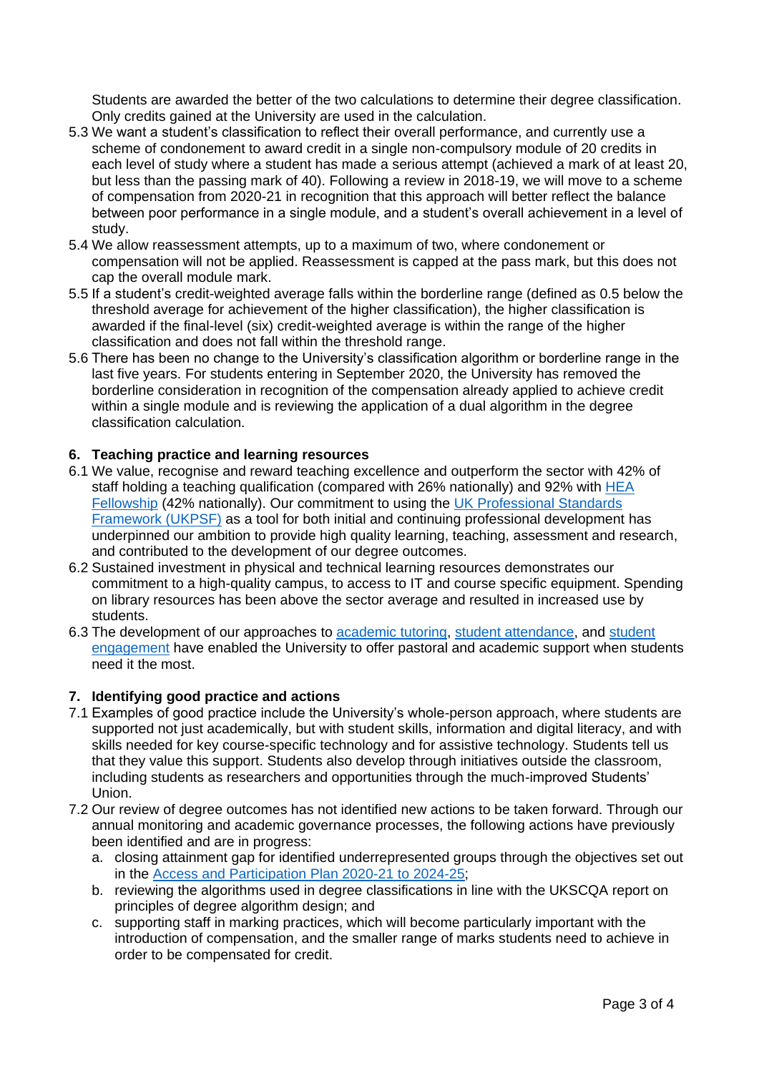Students are awarded the better of the two calculations to determine their degree classification. Only credits gained at the University are used in the calculation.

- 5.3 We want a student's classification to reflect their overall performance, and currently use a scheme of condonement to award credit in a single non-compulsory module of 20 credits in each level of study where a student has made a serious attempt (achieved a mark of at least 20, but less than the passing mark of 40). Following a review in 2018-19, we will move to a scheme of compensation from 2020-21 in recognition that this approach will better reflect the balance between poor performance in a single module, and a student's overall achievement in a level of study.
- 5.4 We allow reassessment attempts, up to a maximum of two, where condonement or compensation will not be applied. Reassessment is capped at the pass mark, but this does not cap the overall module mark.
- 5.5 If a student's credit-weighted average falls within the borderline range (defined as 0.5 below the threshold average for achievement of the higher classification), the higher classification is awarded if the final-level (six) credit-weighted average is within the range of the higher classification and does not fall within the threshold range.
- 5.6 There has been no change to the University's classification algorithm or borderline range in the last five years. For students entering in September 2020, the University has removed the borderline consideration in recognition of the compensation already applied to achieve credit within a single module and is reviewing the application of a dual algorithm in the degree classification calculation.

## **6. Teaching practice and learning resources**

- 6.1 We value, recognise and reward teaching excellence and outperform the sector with 42% of staff holding a teaching qualification (compared with 26% nationally) and 92% with [HEA](https://www.advance-he.ac.uk/fellowship)  [Fellowship](https://www.advance-he.ac.uk/fellowship) (42% nationally). Our commitment to using the [UK Professional Standards](https://www.advance-he.ac.uk/guidance/teaching-and-learning/ukpsf)  [Framework \(UKPSF\)](https://www.advance-he.ac.uk/guidance/teaching-and-learning/ukpsf) as a tool for both initial and continuing professional development has underpinned our ambition to provide high quality learning, teaching, assessment and research, and contributed to the development of our degree outcomes.
- 6.2 Sustained investment in physical and technical learning resources demonstrates our commitment to a high-quality campus, to access to IT and course specific equipment. Spending on library resources has been above the sector average and resulted in increased use by students.
- 6.3 The development of our approaches to [academic](https://www.yorksj.ac.uk/learning/learning-and-teaching/academic-tutoring/) tutoring, [student attendance,](https://www.yorksj.ac.uk/students/policies-and-documents/attendance-monitoring/) and [student](https://www.yorksj.ac.uk/staff/learning-and-teaching/ascend/)  [engagement](https://www.yorksj.ac.uk/staff/learning-and-teaching/ascend/) have enabled the University to offer pastoral and academic support when students need it the most.

#### **7. Identifying good practice and actions**

- 7.1 Examples of good practice include the University's whole-person approach, where students are supported not just academically, but with student skills, information and digital literacy, and with skills needed for key course-specific technology and for assistive technology. Students tell us that they value this support. Students also develop through initiatives outside the classroom, including students as researchers and opportunities through the much-improved Students' Union.
- 7.2 Our review of degree outcomes has not identified new actions to be taken forward. Through our annual monitoring and academic governance processes, the following actions have previously been identified and are in progress:
	- a. closing attainment gap for identified underrepresented groups through the objectives set out in the [Access and Participation Plan 2020-21 to 2024-25;](https://www.yorksj.ac.uk/media/development-assets/common-footer/Access-and-participation-plan-2020-21-to-2024-25.pdf)
	- b. reviewing the algorithms used in degree classifications in line with the UKSCQA report on principles of degree algorithm design; and
	- c. supporting staff in marking practices, which will become particularly important with the introduction of compensation, and the smaller range of marks students need to achieve in order to be compensated for credit.